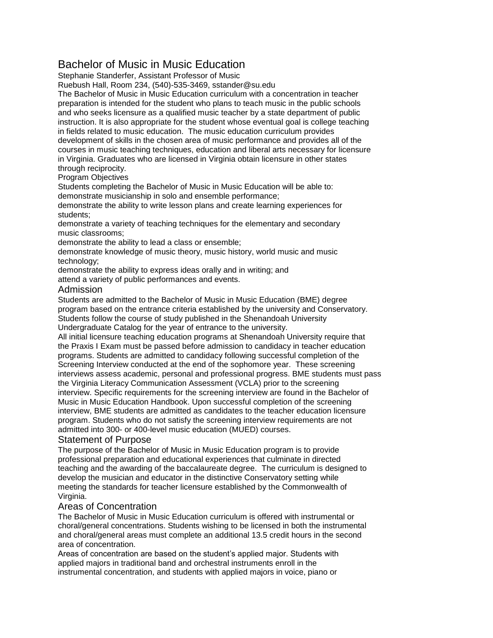# Bachelor of Music in Music Education

Stephanie Standerfer, Assistant Professor of Music

Ruebush Hall, Room 234, (540)-535-3469, sstander@su.edu

The Bachelor of Music in Music Education curriculum with a concentration in teacher preparation is intended for the student who plans to teach music in the public schools and who seeks licensure as a qualified music teacher by a state department of public instruction. It is also appropriate for the student whose eventual goal is college teaching in fields related to music education. The music education curriculum provides development of skills in the chosen area of music performance and provides all of the courses in music teaching techniques, education and liberal arts necessary for licensure in Virginia. Graduates who are licensed in Virginia obtain licensure in other states through reciprocity.

## Program Objectives

Students completing the Bachelor of Music in Music Education will be able to: demonstrate musicianship in solo and ensemble performance;

demonstrate the ability to write lesson plans and create learning experiences for students;

demonstrate a variety of teaching techniques for the elementary and secondary music classrooms;

demonstrate the ability to lead a class or ensemble;

demonstrate knowledge of music theory, music history, world music and music technology;

demonstrate the ability to express ideas orally and in writing; and

attend a variety of public performances and events.

#### Admission

Students are admitted to the Bachelor of Music in Music Education (BME) degree program based on the entrance criteria established by the university and Conservatory. Students follow the course of study published in the Shenandoah University Undergraduate Catalog for the year of entrance to the university.

All initial licensure teaching education programs at Shenandoah University require that the Praxis I Exam must be passed before admission to candidacy in teacher education programs. Students are admitted to candidacy following successful completion of the Screening Interview conducted at the end of the sophomore year. These screening interviews assess academic, personal and professional progress. BME students must pass the Virginia Literacy Communication Assessment (VCLA) prior to the screening interview. Specific requirements for the screening interview are found in the Bachelor of Music in Music Education Handbook. Upon successful completion of the screening interview, BME students are admitted as candidates to the teacher education licensure program. Students who do not satisfy the screening interview requirements are not admitted into 300- or 400-level music education (MUED) courses.

### Statement of Purpose

The purpose of the Bachelor of Music in Music Education program is to provide professional preparation and educational experiences that culminate in directed teaching and the awarding of the baccalaureate degree. The curriculum is designed to develop the musician and educator in the distinctive Conservatory setting while meeting the standards for teacher licensure established by the Commonwealth of Virginia.

#### Areas of Concentration

The Bachelor of Music in Music Education curriculum is offered with instrumental or choral/general concentrations. Students wishing to be licensed in both the instrumental and choral/general areas must complete an additional 13.5 credit hours in the second area of concentration.

Areas of concentration are based on the student's applied major. Students with applied majors in traditional band and orchestral instruments enroll in the instrumental concentration, and students with applied majors in voice, piano or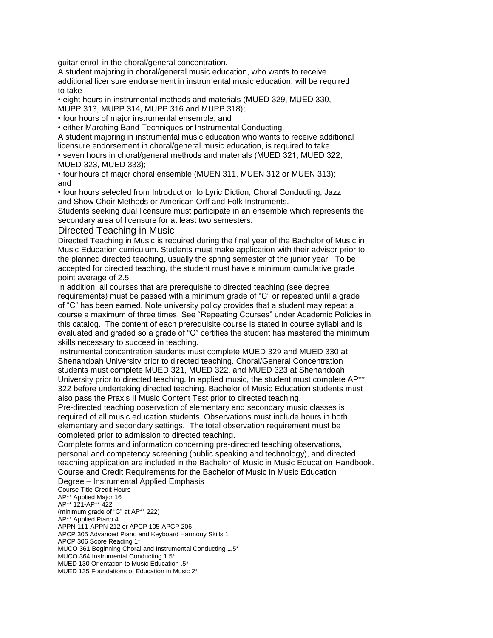guitar enroll in the choral/general concentration.

A student majoring in choral/general music education, who wants to receive additional licensure endorsement in instrumental music education, will be required to take

• eight hours in instrumental methods and materials (MUED 329, MUED 330, MUPP 313, MUPP 314, MUPP 316 and MUPP 318);

• four hours of major instrumental ensemble; and

• either Marching Band Techniques or Instrumental Conducting.

A student majoring in instrumental music education who wants to receive additional licensure endorsement in choral/general music education, is required to take

• seven hours in choral/general methods and materials (MUED 321, MUED 322, MUED 323, MUED 333);

• four hours of major choral ensemble (MUEN 311, MUEN 312 or MUEN 313); and

• four hours selected from Introduction to Lyric Diction, Choral Conducting, Jazz and Show Choir Methods or American Orff and Folk Instruments.

Students seeking dual licensure must participate in an ensemble which represents the secondary area of licensure for at least two semesters.

#### Directed Teaching in Music

Directed Teaching in Music is required during the final year of the Bachelor of Music in Music Education curriculum. Students must make application with their advisor prior to the planned directed teaching, usually the spring semester of the junior year. To be accepted for directed teaching, the student must have a minimum cumulative grade point average of 2.5.

In addition, all courses that are prerequisite to directed teaching (see degree requirements) must be passed with a minimum grade of "C" or repeated until a grade of "C" has been earned. Note university policy provides that a student may repeat a course a maximum of three times. See "Repeating Courses" under Academic Policies in this catalog. The content of each prerequisite course is stated in course syllabi and is evaluated and graded so a grade of "C" certifies the student has mastered the minimum skills necessary to succeed in teaching.

Instrumental concentration students must complete MUED 329 and MUED 330 at Shenandoah University prior to directed teaching. Choral/General Concentration students must complete MUED 321, MUED 322, and MUED 323 at Shenandoah University prior to directed teaching. In applied music, the student must complete AP\*\* 322 before undertaking directed teaching. Bachelor of Music Education students must also pass the Praxis II Music Content Test prior to directed teaching.

Pre-directed teaching observation of elementary and secondary music classes is required of all music education students. Observations must include hours in both elementary and secondary settings. The total observation requirement must be completed prior to admission to directed teaching.

Complete forms and information concerning pre-directed teaching observations, personal and competency screening (public speaking and technology), and directed teaching application are included in the Bachelor of Music in Music Education Handbook. Course and Credit Requirements for the Bachelor of Music in Music Education Degree – Instrumental Applied Emphasis

Course Title Credit Hours AP\*\* Applied Major 16 AP\*\* 121-AP\*\* 422 (minimum grade of "C" at AP\*\* 222) AP\*\* Applied Piano 4 APPN 111-APPN 212 or APCP 105-APCP 206 APCP 305 Advanced Piano and Keyboard Harmony Skills 1 APCP 306 Score Reading 1\* MUCO 361 Beginning Choral and Instrumental Conducting 1.5\* MUCO 364 Instrumental Conducting 1.5\* MUED 130 Orientation to Music Education .5\* MUED 135 Foundations of Education in Music 2\*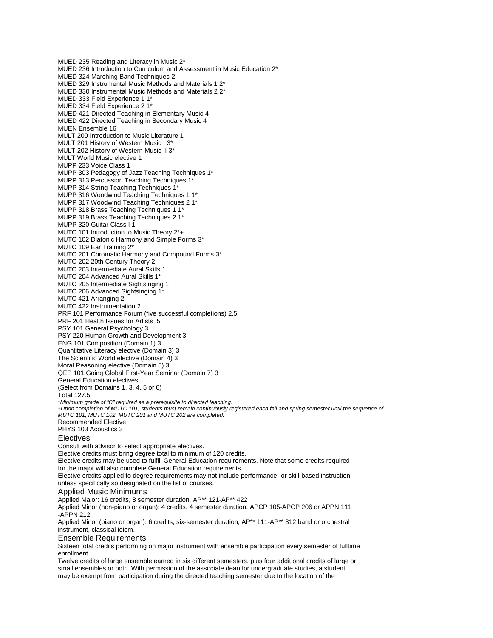MUED 235 Reading and Literacy in Music 2\* MUED 236 Introduction to Curriculum and Assessment in Music Education 2\* MUED 324 Marching Band Techniques 2 MUED 329 Instrumental Music Methods and Materials 1 2\* MUED 330 Instrumental Music Methods and Materials 2 2\* MUED 333 Field Experience 1 1\* MUED 334 Field Experience 2 1\* MUED 421 Directed Teaching in Elementary Music 4 MUED 422 Directed Teaching in Secondary Music 4 MUEN Ensemble 16 MULT 200 Introduction to Music Literature 1 MULT 201 History of Western Music I 3\* MULT 202 History of Western Music II 3\* MULT World Music elective 1 MUPP 233 Voice Class 1 MUPP 303 Pedagogy of Jazz Teaching Techniques 1\* MUPP 313 Percussion Teaching Techniques 1\* MUPP 314 String Teaching Techniques 1\* MUPP 316 Woodwind Teaching Techniques 1 1\* MUPP 317 Woodwind Teaching Techniques 2 1\* MUPP 318 Brass Teaching Techniques 1 1\* MUPP 319 Brass Teaching Techniques 2 1\* MUPP 320 Guitar Class I 1 MUTC 101 Introduction to Music Theory 2\*+ MUTC 102 Diatonic Harmony and Simple Forms 3\* MUTC 109 Ear Training 2\* MUTC 201 Chromatic Harmony and Compound Forms 3\* MUTC 202 20th Century Theory 2 MUTC 203 Intermediate Aural Skills 1 MUTC 204 Advanced Aural Skills 1\* MUTC 205 Intermediate Sightsinging 1 MUTC 206 Advanced Sightsinging 1\* MUTC 421 Arranging 2 MUTC 422 Instrumentation 2 PRF 101 Performance Forum (five successful completions) 2.5 PRF 201 Health Issues for Artists .5 PSY 101 General Psychology 3 PSY 220 Human Growth and Development 3 ENG 101 Composition (Domain 1) 3 Quantitative Literacy elective (Domain 3) 3 The Scientific World elective (Domain 4) 3 Moral Reasoning elective (Domain 5) 3 QEP 101 Going Global First-Year Seminar (Domain 7) 3 General Education electives (Select from Domains 1, 3, 4, 5 or 6) Total 127.5 \**Minimum grade of "C" required as a prerequisite to directed teaching. +Upon completion of MUTC 101, students must remain continuously registered each fall and spring semester until the sequence of MUTC 101, MUTC 102, MUTC 201 and MUTC 202 are completed.* Recommended Elective PHYS 103 Acoustics 3 Electives Consult with advisor to select appropriate electives. Elective credits must bring degree total to minimum of 120 credits. Elective credits may be used to fulfill General Education requirements. Note that some credits required for the major will also complete General Education requirements. Elective credits applied to degree requirements may not include performance- or skill-based instruction unless specifically so designated on the list of courses. Applied Music Minimums Applied Major: 16 credits, 8 semester duration, AP\*\* 121-AP\*\* 422 Applied Minor (non-piano or organ): 4 credits, 4 semester duration, APCP 105-APCP 206 or APPN 111 -APPN 212 Applied Minor (piano or organ): 6 credits, six-semester duration, AP\*\* 111-AP\*\* 312 band or orchestral instrument, classical idiom.

#### Ensemble Requirements

Sixteen total credits performing on major instrument with ensemble participation every semester of fulltime enrollment.

Twelve credits of large ensemble earned in six different semesters, plus four additional credits of large or small ensembles or both. With permission of the associate dean for undergraduate studies, a student may be exempt from participation during the directed teaching semester due to the location of the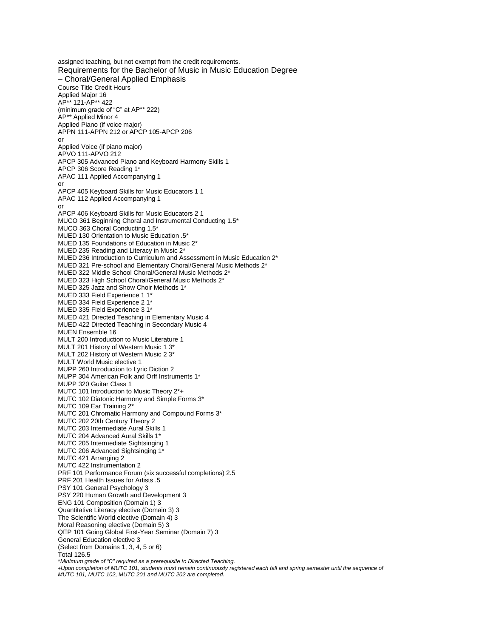assigned teaching, but not exempt from the credit requirements. Requirements for the Bachelor of Music in Music Education Degree – Choral/General Applied Emphasis Course Title Credit Hours Applied Major 16 AP\*\* 121-AP\*\* 422 (minimum grade of "C" at AP\*\* 222) AP\*\* Applied Minor 4 Applied Piano (if voice major) APPN 111-APPN 212 or APCP 105-APCP 206 or Applied Voice (if piano major) APVO 111-APVO 212 APCP 305 Advanced Piano and Keyboard Harmony Skills 1 APCP 306 Score Reading 1\* APAC 111 Applied Accompanying 1 or APCP 405 Keyboard Skills for Music Educators 1 1 APAC 112 Applied Accompanying 1 or APCP 406 Keyboard Skills for Music Educators 2 1 MUCO 361 Beginning Choral and Instrumental Conducting 1.5\* MUCO 363 Choral Conducting 1.5\* MUED 130 Orientation to Music Education .5\* MUED 135 Foundations of Education in Music 2\* MUED 235 Reading and Literacy in Music 2\* MUED 236 Introduction to Curriculum and Assessment in Music Education 2\* MUED 321 Pre-school and Elementary Choral/General Music Methods 2\* MUED 322 Middle School Choral/General Music Methods 2\* MUED 323 High School Choral/General Music Methods 2\* MUED 325 Jazz and Show Choir Methods 1\* MUED 333 Field Experience 1 1\* MUED 334 Field Experience 2 1\* MUED 335 Field Experience 3 1\* MUED 421 Directed Teaching in Elementary Music 4 MUED 422 Directed Teaching in Secondary Music 4 MUEN Ensemble 16 MULT 200 Introduction to Music Literature 1 MULT 201 History of Western Music 1 3\* MULT 202 History of Western Music 2 3\* MULT World Music elective 1 MUPP 260 Introduction to Lyric Diction 2 MUPP 304 American Folk and Orff Instruments 1\* MUPP 320 Guitar Class 1 MUTC 101 Introduction to Music Theory 2\*+ MUTC 102 Diatonic Harmony and Simple Forms 3\* MUTC 109 Ear Training 2\* MUTC 201 Chromatic Harmony and Compound Forms 3\* MUTC 202 20th Century Theory 2 MUTC 203 Intermediate Aural Skills 1 MUTC 204 Advanced Aural Skills 1\* MUTC 205 Intermediate Sightsinging 1 MUTC 206 Advanced Sightsinging 1\* MUTC 421 Arranging 2 MUTC 422 Instrumentation 2 PRF 101 Performance Forum (six successful completions) 2.5 PRF 201 Health Issues for Artists .5 PSY 101 General Psychology 3 PSY 220 Human Growth and Development 3 ENG 101 Composition (Domain 1) 3 Quantitative Literacy elective (Domain 3) 3 The Scientific World elective (Domain 4) 3 Moral Reasoning elective (Domain 5) 3 QEP 101 Going Global First-Year Seminar (Domain 7) 3 General Education elective 3 (Select from Domains 1, 3, 4, 5 or 6) Total 126.5 \**Minimum grade of "C" required as a prerequisite to Directed Teaching. +Upon completion of MUTC 101, students must remain continuously registered each fall and spring semester until the sequence of MUTC 101, MUTC 102, MUTC 201 and MUTC 202 are completed.*